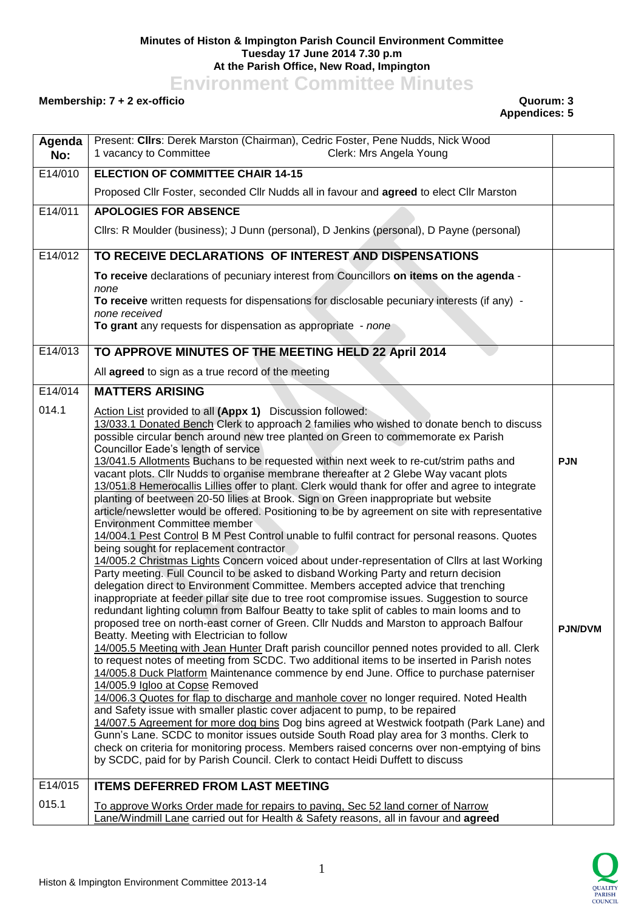## **Minutes of Histon & Impington Parish Council Environment Committee Tuesday 17 June 2014 7.30 p.m At the Parish Office, New Road, Impington**

**Environment Committee Minutes**

## **Membership: 7 + 2 ex-officio Quorum: 3**

## **Appendices: 5**

| Agenda<br>No: | Present: Clirs: Derek Marston (Chairman), Cedric Foster, Pene Nudds, Nick Wood<br>1 vacancy to Committee<br>Clerk: Mrs Angela Young                                                                                                                                                                                                                                                                                                                                                                                                                                                                                                                                                                                                                                                                                                                                                                                                                                                                                                                                                                                                                                                                                                                                                                                                                                                                                                                                                                                                                                                                                                                                                                                                                                                                                                                                                                                                                                                                                                                                                                                                                                   |                              |
|---------------|-----------------------------------------------------------------------------------------------------------------------------------------------------------------------------------------------------------------------------------------------------------------------------------------------------------------------------------------------------------------------------------------------------------------------------------------------------------------------------------------------------------------------------------------------------------------------------------------------------------------------------------------------------------------------------------------------------------------------------------------------------------------------------------------------------------------------------------------------------------------------------------------------------------------------------------------------------------------------------------------------------------------------------------------------------------------------------------------------------------------------------------------------------------------------------------------------------------------------------------------------------------------------------------------------------------------------------------------------------------------------------------------------------------------------------------------------------------------------------------------------------------------------------------------------------------------------------------------------------------------------------------------------------------------------------------------------------------------------------------------------------------------------------------------------------------------------------------------------------------------------------------------------------------------------------------------------------------------------------------------------------------------------------------------------------------------------------------------------------------------------------------------------------------------------|------------------------------|
| E14/010       | <b>ELECTION OF COMMITTEE CHAIR 14-15</b>                                                                                                                                                                                                                                                                                                                                                                                                                                                                                                                                                                                                                                                                                                                                                                                                                                                                                                                                                                                                                                                                                                                                                                                                                                                                                                                                                                                                                                                                                                                                                                                                                                                                                                                                                                                                                                                                                                                                                                                                                                                                                                                              |                              |
|               | Proposed Cllr Foster, seconded Cllr Nudds all in favour and agreed to elect Cllr Marston                                                                                                                                                                                                                                                                                                                                                                                                                                                                                                                                                                                                                                                                                                                                                                                                                                                                                                                                                                                                                                                                                                                                                                                                                                                                                                                                                                                                                                                                                                                                                                                                                                                                                                                                                                                                                                                                                                                                                                                                                                                                              |                              |
| E14/011       | <b>APOLOGIES FOR ABSENCE</b>                                                                                                                                                                                                                                                                                                                                                                                                                                                                                                                                                                                                                                                                                                                                                                                                                                                                                                                                                                                                                                                                                                                                                                                                                                                                                                                                                                                                                                                                                                                                                                                                                                                                                                                                                                                                                                                                                                                                                                                                                                                                                                                                          |                              |
|               | Cllrs: R Moulder (business); J Dunn (personal), D Jenkins (personal), D Payne (personal)                                                                                                                                                                                                                                                                                                                                                                                                                                                                                                                                                                                                                                                                                                                                                                                                                                                                                                                                                                                                                                                                                                                                                                                                                                                                                                                                                                                                                                                                                                                                                                                                                                                                                                                                                                                                                                                                                                                                                                                                                                                                              |                              |
| E14/012       | TO RECEIVE DECLARATIONS OF INTEREST AND DISPENSATIONS                                                                                                                                                                                                                                                                                                                                                                                                                                                                                                                                                                                                                                                                                                                                                                                                                                                                                                                                                                                                                                                                                                                                                                                                                                                                                                                                                                                                                                                                                                                                                                                                                                                                                                                                                                                                                                                                                                                                                                                                                                                                                                                 |                              |
|               | To receive declarations of pecuniary interest from Councillors on items on the agenda -<br>none                                                                                                                                                                                                                                                                                                                                                                                                                                                                                                                                                                                                                                                                                                                                                                                                                                                                                                                                                                                                                                                                                                                                                                                                                                                                                                                                                                                                                                                                                                                                                                                                                                                                                                                                                                                                                                                                                                                                                                                                                                                                       |                              |
|               | To receive written requests for dispensations for disclosable pecuniary interests (if any) -<br>none received                                                                                                                                                                                                                                                                                                                                                                                                                                                                                                                                                                                                                                                                                                                                                                                                                                                                                                                                                                                                                                                                                                                                                                                                                                                                                                                                                                                                                                                                                                                                                                                                                                                                                                                                                                                                                                                                                                                                                                                                                                                         |                              |
|               | To grant any requests for dispensation as appropriate - none                                                                                                                                                                                                                                                                                                                                                                                                                                                                                                                                                                                                                                                                                                                                                                                                                                                                                                                                                                                                                                                                                                                                                                                                                                                                                                                                                                                                                                                                                                                                                                                                                                                                                                                                                                                                                                                                                                                                                                                                                                                                                                          |                              |
| E14/013       | TO APPROVE MINUTES OF THE MEETING HELD 22 April 2014                                                                                                                                                                                                                                                                                                                                                                                                                                                                                                                                                                                                                                                                                                                                                                                                                                                                                                                                                                                                                                                                                                                                                                                                                                                                                                                                                                                                                                                                                                                                                                                                                                                                                                                                                                                                                                                                                                                                                                                                                                                                                                                  |                              |
|               | All agreed to sign as a true record of the meeting                                                                                                                                                                                                                                                                                                                                                                                                                                                                                                                                                                                                                                                                                                                                                                                                                                                                                                                                                                                                                                                                                                                                                                                                                                                                                                                                                                                                                                                                                                                                                                                                                                                                                                                                                                                                                                                                                                                                                                                                                                                                                                                    |                              |
| E14/014       | <b>MATTERS ARISING</b>                                                                                                                                                                                                                                                                                                                                                                                                                                                                                                                                                                                                                                                                                                                                                                                                                                                                                                                                                                                                                                                                                                                                                                                                                                                                                                                                                                                                                                                                                                                                                                                                                                                                                                                                                                                                                                                                                                                                                                                                                                                                                                                                                |                              |
| 014.1         | Action List provided to all (Appx 1) Discussion followed:<br>13/033.1 Donated Bench Clerk to approach 2 families who wished to donate bench to discuss<br>possible circular bench around new tree planted on Green to commemorate ex Parish<br>Councillor Eade's length of service                                                                                                                                                                                                                                                                                                                                                                                                                                                                                                                                                                                                                                                                                                                                                                                                                                                                                                                                                                                                                                                                                                                                                                                                                                                                                                                                                                                                                                                                                                                                                                                                                                                                                                                                                                                                                                                                                    |                              |
|               | 13/041.5 Allotments Buchans to be requested within next week to re-cut/strim paths and<br>vacant plots. Cllr Nudds to organise membrane thereafter at 2 Glebe Way vacant plots<br>13/051.8 Hemerocallis Lillies offer to plant. Clerk would thank for offer and agree to integrate<br>planting of beetween 20-50 lilies at Brook. Sign on Green inappropriate but website<br>article/newsletter would be offered. Positioning to be by agreement on site with representative<br><b>Environment Committee member</b><br>14/004.1 Pest Control B M Pest Control unable to fulfil contract for personal reasons. Quotes<br>being sought for replacement contractor<br>14/005.2 Christmas Lights Concern voiced about under-representation of Cllrs at last Working<br>Party meeting. Full Council to be asked to disband Working Party and return decision<br>delegation direct to Environment Committee. Members accepted advice that trenching<br>inappropriate at feeder pillar site due to tree root compromise issues. Suggestion to source<br>redundant lighting column from Balfour Beatty to take split of cables to main looms and to<br>proposed tree on north-east corner of Green. Cllr Nudds and Marston to approach Balfour<br>Beatty. Meeting with Electrician to follow<br>14/005.5 Meeting with Jean Hunter Draft parish councillor penned notes provided to all. Clerk<br>to request notes of meeting from SCDC. Two additional items to be inserted in Parish notes<br>14/005.8 Duck Platform Maintenance commence by end June. Office to purchase paterniser<br>14/005.9 Igloo at Copse Removed<br>14/006.3 Quotes for flap to discharge and manhole cover no longer required. Noted Health<br>and Safety issue with smaller plastic cover adjacent to pump, to be repaired<br>14/007.5 Agreement for more dog bins Dog bins agreed at Westwick footpath (Park Lane) and<br>Gunn's Lane. SCDC to monitor issues outside South Road play area for 3 months. Clerk to<br>check on criteria for monitoring process. Members raised concerns over non-emptying of bins<br>by SCDC, paid for by Parish Council. Clerk to contact Heidi Duffett to discuss | <b>PJN</b><br><b>PJN/DVM</b> |
| E14/015       | <b>ITEMS DEFERRED FROM LAST MEETING</b>                                                                                                                                                                                                                                                                                                                                                                                                                                                                                                                                                                                                                                                                                                                                                                                                                                                                                                                                                                                                                                                                                                                                                                                                                                                                                                                                                                                                                                                                                                                                                                                                                                                                                                                                                                                                                                                                                                                                                                                                                                                                                                                               |                              |
| 015.1         | To approve Works Order made for repairs to paving, Sec 52 land corner of Narrow<br>Lane/Windmill Lane carried out for Health & Safety reasons, all in favour and agreed                                                                                                                                                                                                                                                                                                                                                                                                                                                                                                                                                                                                                                                                                                                                                                                                                                                                                                                                                                                                                                                                                                                                                                                                                                                                                                                                                                                                                                                                                                                                                                                                                                                                                                                                                                                                                                                                                                                                                                                               |                              |

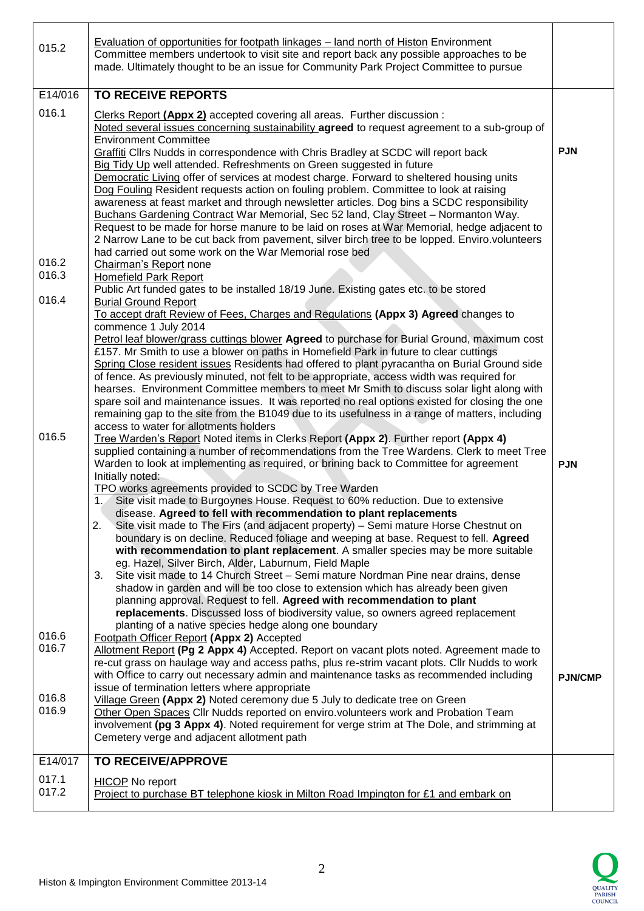| 015.2                            | <b>Evaluation of opportunities for footpath linkages – land north of Histon Environment</b><br>Committee members undertook to visit site and report back any possible approaches to be<br>made. Ultimately thought to be an issue for Community Park Project Committee to pursue                                                                                                                                                                                                                                                                                                                                                                                                                                                                                                                                                                                                                                                                                                                                                                                                                          |                |
|----------------------------------|-----------------------------------------------------------------------------------------------------------------------------------------------------------------------------------------------------------------------------------------------------------------------------------------------------------------------------------------------------------------------------------------------------------------------------------------------------------------------------------------------------------------------------------------------------------------------------------------------------------------------------------------------------------------------------------------------------------------------------------------------------------------------------------------------------------------------------------------------------------------------------------------------------------------------------------------------------------------------------------------------------------------------------------------------------------------------------------------------------------|----------------|
| E14/016                          | <b>TO RECEIVE REPORTS</b>                                                                                                                                                                                                                                                                                                                                                                                                                                                                                                                                                                                                                                                                                                                                                                                                                                                                                                                                                                                                                                                                                 |                |
| 016.1                            | Clerks Report (Appx 2) accepted covering all areas. Further discussion :<br>Noted several issues concerning sustainability agreed to request agreement to a sub-group of<br><b>Environment Committee</b><br>Graffiti Cllrs Nudds in correspondence with Chris Bradley at SCDC will report back<br>Big Tidy Up well attended. Refreshments on Green suggested in future<br>Democratic Living offer of services at modest charge. Forward to sheltered housing units<br>Dog Fouling Resident requests action on fouling problem. Committee to look at raising<br>awareness at feast market and through newsletter articles. Dog bins a SCDC responsibility<br>Buchans Gardening Contract War Memorial, Sec 52 land, Clay Street - Normanton Way.<br>Request to be made for horse manure to be laid on roses at War Memorial, hedge adjacent to<br>2 Narrow Lane to be cut back from pavement, silver birch tree to be lopped. Enviro.volunteers<br>had carried out some work on the War Memorial rose bed                                                                                                   | <b>PJN</b>     |
| 016.2<br>016.3                   | Chairman's Report none<br>Homefield Park Report                                                                                                                                                                                                                                                                                                                                                                                                                                                                                                                                                                                                                                                                                                                                                                                                                                                                                                                                                                                                                                                           |                |
| 016.4                            | Public Art funded gates to be installed 18/19 June. Existing gates etc. to be stored<br><b>Burial Ground Report</b>                                                                                                                                                                                                                                                                                                                                                                                                                                                                                                                                                                                                                                                                                                                                                                                                                                                                                                                                                                                       |                |
|                                  | To accept draft Review of Fees, Charges and Regulations (Appx 3) Agreed changes to<br>commence 1 July 2014<br>Petrol leaf blower/grass cuttings blower Agreed to purchase for Burial Ground, maximum cost<br>£157. Mr Smith to use a blower on paths in Homefield Park in future to clear cuttings<br>Spring Close resident issues Residents had offered to plant pyracantha on Burial Ground side<br>of fence. As previously minuted, not felt to be appropriate, access width was required for<br>hearses. Environment Committee members to meet Mr Smith to discuss solar light along with<br>spare soil and maintenance issues. It was reported no real options existed for closing the one<br>remaining gap to the site from the B1049 due to its usefulness in a range of matters, including<br>access to water for allotments holders                                                                                                                                                                                                                                                              |                |
| 016.5                            | Tree Warden's Report Noted items in Clerks Report (Appx 2). Further report (Appx 4)<br>supplied containing a number of recommendations from the Tree Wardens. Clerk to meet Tree<br>Warden to look at implementing as required, or brining back to Committee for agreement<br>Initially noted:<br>TPO works agreements provided to SCDC by Tree Warden<br>Site visit made to Burgoynes House. Request to 60% reduction. Due to extensive<br>disease. Agreed to fell with recommendation to plant replacements<br>2.<br>Site visit made to The Firs (and adjacent property) – Semi mature Horse Chestnut on<br>boundary is on decline. Reduced foliage and weeping at base. Request to fell. Agreed<br>with recommendation to plant replacement. A smaller species may be more suitable<br>eg. Hazel, Silver Birch, Alder, Laburnum, Field Maple<br>Site visit made to 14 Church Street - Semi mature Nordman Pine near drains, dense<br>3.<br>shadow in garden and will be too close to extension which has already been given<br>planning approval. Request to fell. Agreed with recommendation to plant | <b>PJN</b>     |
| 016.6<br>016.7<br>016.8<br>016.9 | replacements. Discussed loss of biodiversity value, so owners agreed replacement<br>planting of a native species hedge along one boundary<br>Footpath Officer Report (Appx 2) Accepted<br>Allotment Report (Pg 2 Appx 4) Accepted. Report on vacant plots noted. Agreement made to<br>re-cut grass on haulage way and access paths, plus re-strim vacant plots. Cllr Nudds to work<br>with Office to carry out necessary admin and maintenance tasks as recommended including<br>issue of termination letters where appropriate<br>Village Green (Appx 2) Noted ceremony due 5 July to dedicate tree on Green<br>Other Open Spaces Cllr Nudds reported on enviro.volunteers work and Probation Team<br>involvement (pg 3 Appx 4). Noted requirement for verge strim at The Dole, and strimming at                                                                                                                                                                                                                                                                                                         | <b>PJN/CMP</b> |
| E14/017                          | Cemetery verge and adjacent allotment path<br><b>TO RECEIVE/APPROVE</b>                                                                                                                                                                                                                                                                                                                                                                                                                                                                                                                                                                                                                                                                                                                                                                                                                                                                                                                                                                                                                                   |                |
| 017.1<br>017.2                   | <b>HICOP</b> No report<br>Project to purchase BT telephone kiosk in Milton Road Impington for £1 and embark on                                                                                                                                                                                                                                                                                                                                                                                                                                                                                                                                                                                                                                                                                                                                                                                                                                                                                                                                                                                            |                |